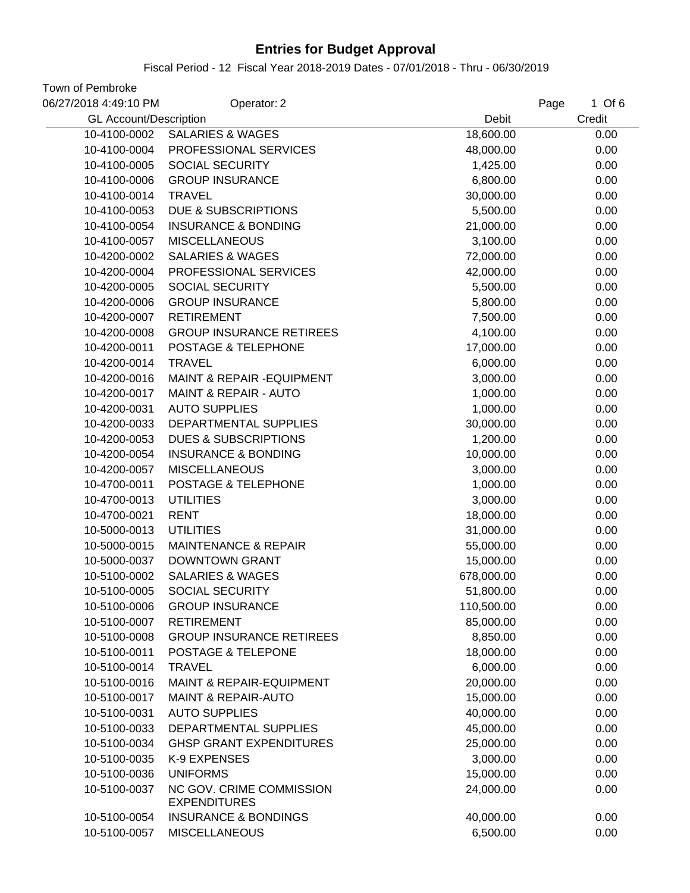Fiscal Period - 12 Fiscal Year 2018-2019 Dates - 07/01/2018 - Thru - 06/30/2019

| 06/27/2018 4:49:10 PM         | Operator: 2                                     |            | $1$ Of 6<br>Page |
|-------------------------------|-------------------------------------------------|------------|------------------|
| <b>GL Account/Description</b> |                                                 | Debit      | Credit           |
| 10-4100-0002                  | <b>SALARIES &amp; WAGES</b>                     | 18,600.00  | 0.00             |
| 10-4100-0004                  | PROFESSIONAL SERVICES                           | 48,000.00  | 0.00             |
| 10-4100-0005                  | SOCIAL SECURITY                                 | 1,425.00   | 0.00             |
| 10-4100-0006                  | <b>GROUP INSURANCE</b>                          | 6,800.00   | 0.00             |
| 10-4100-0014                  | <b>TRAVEL</b>                                   | 30,000.00  | 0.00             |
| 10-4100-0053                  | <b>DUE &amp; SUBSCRIPTIONS</b>                  | 5,500.00   | 0.00             |
| 10-4100-0054                  | <b>INSURANCE &amp; BONDING</b>                  | 21,000.00  | 0.00             |
| 10-4100-0057                  | <b>MISCELLANEOUS</b>                            | 3,100.00   | 0.00             |
| 10-4200-0002                  | <b>SALARIES &amp; WAGES</b>                     | 72,000.00  | 0.00             |
| 10-4200-0004                  | PROFESSIONAL SERVICES                           | 42,000.00  | 0.00             |
| 10-4200-0005                  | SOCIAL SECURITY                                 | 5,500.00   | 0.00             |
| 10-4200-0006                  | <b>GROUP INSURANCE</b>                          | 5,800.00   | 0.00             |
| 10-4200-0007                  | <b>RETIREMENT</b>                               | 7,500.00   | 0.00             |
| 10-4200-0008                  | <b>GROUP INSURANCE RETIREES</b>                 | 4,100.00   | 0.00             |
| 10-4200-0011                  | POSTAGE & TELEPHONE                             | 17,000.00  | 0.00             |
| 10-4200-0014                  | <b>TRAVEL</b>                                   | 6,000.00   | 0.00             |
| 10-4200-0016                  | <b>MAINT &amp; REPAIR - EQUIPMENT</b>           | 3,000.00   | 0.00             |
| 10-4200-0017                  | <b>MAINT &amp; REPAIR - AUTO</b>                | 1,000.00   | 0.00             |
| 10-4200-0031                  | <b>AUTO SUPPLIES</b>                            | 1,000.00   | 0.00             |
| 10-4200-0033                  | DEPARTMENTAL SUPPLIES                           | 30,000.00  | 0.00             |
| 10-4200-0053                  | <b>DUES &amp; SUBSCRIPTIONS</b>                 | 1,200.00   | 0.00             |
| 10-4200-0054                  | <b>INSURANCE &amp; BONDING</b>                  | 10,000.00  | 0.00             |
| 10-4200-0057                  | <b>MISCELLANEOUS</b>                            | 3,000.00   | 0.00             |
| 10-4700-0011                  | POSTAGE & TELEPHONE                             | 1,000.00   | 0.00             |
| 10-4700-0013                  | <b>UTILITIES</b>                                | 3,000.00   | 0.00             |
| 10-4700-0021                  | <b>RENT</b>                                     | 18,000.00  | 0.00             |
| 10-5000-0013                  | <b>UTILITIES</b>                                | 31,000.00  | 0.00             |
| 10-5000-0015                  | <b>MAINTENANCE &amp; REPAIR</b>                 | 55,000.00  | 0.00             |
| 10-5000-0037                  | <b>DOWNTOWN GRANT</b>                           | 15,000.00  | 0.00             |
| 10-5100-0002                  | <b>SALARIES &amp; WAGES</b>                     | 678,000.00 | 0.00             |
| 10-5100-0005                  | SOCIAL SECURITY                                 | 51,800.00  | 0.00             |
| 10-5100-0006                  | <b>GROUP INSURANCE</b>                          | 110,500.00 | 0.00             |
| 10-5100-0007                  | <b>RETIREMENT</b>                               | 85,000.00  | 0.00             |
| 10-5100-0008                  | <b>GROUP INSURANCE RETIREES</b>                 | 8,850.00   | 0.00             |
| 10-5100-0011                  | POSTAGE & TELEPONE                              | 18,000.00  | 0.00             |
| 10-5100-0014                  | <b>TRAVEL</b>                                   | 6,000.00   | 0.00             |
| 10-5100-0016                  | <b>MAINT &amp; REPAIR-EQUIPMENT</b>             | 20,000.00  | 0.00             |
| 10-5100-0017                  | <b>MAINT &amp; REPAIR-AUTO</b>                  | 15,000.00  | 0.00             |
| 10-5100-0031                  | <b>AUTO SUPPLIES</b>                            | 40,000.00  | 0.00             |
| 10-5100-0033                  | DEPARTMENTAL SUPPLIES                           | 45,000.00  | 0.00             |
| 10-5100-0034                  | <b>GHSP GRANT EXPENDITURES</b>                  | 25,000.00  | 0.00             |
| 10-5100-0035                  | K-9 EXPENSES                                    | 3,000.00   | 0.00             |
| 10-5100-0036                  | <b>UNIFORMS</b>                                 | 15,000.00  | 0.00             |
| 10-5100-0037                  | NC GOV. CRIME COMMISSION<br><b>EXPENDITURES</b> | 24,000.00  | 0.00             |
| 10-5100-0054                  | <b>INSURANCE &amp; BONDINGS</b>                 | 40,000.00  | 0.00             |
| 10-5100-0057                  | <b>MISCELLANEOUS</b>                            | 6,500.00   | 0.00             |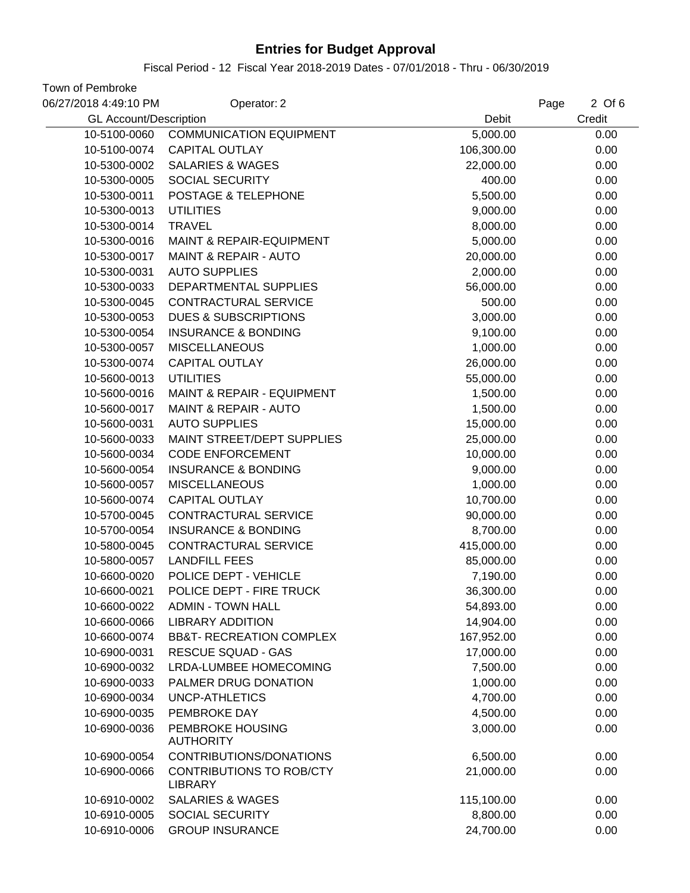#### Fiscal Period - 12 Fiscal Year 2018-2019 Dates - 07/01/2018 - Thru - 06/30/2019

| 06/27/2018 4:49:10 PM         | Operator: 2                                       |            | 2 Of 6<br>Page |
|-------------------------------|---------------------------------------------------|------------|----------------|
| <b>GL Account/Description</b> |                                                   | Debit      | Credit         |
| 10-5100-0060                  | <b>COMMUNICATION EQUIPMENT</b>                    | 5,000.00   | 0.00           |
| 10-5100-0074                  | <b>CAPITAL OUTLAY</b>                             | 106,300.00 | 0.00           |
| 10-5300-0002                  | <b>SALARIES &amp; WAGES</b>                       | 22,000.00  | 0.00           |
| 10-5300-0005                  | <b>SOCIAL SECURITY</b>                            | 400.00     | 0.00           |
| 10-5300-0011                  | POSTAGE & TELEPHONE                               | 5,500.00   | 0.00           |
| 10-5300-0013                  | <b>UTILITIES</b>                                  | 9,000.00   | 0.00           |
| 10-5300-0014                  | <b>TRAVEL</b>                                     | 8,000.00   | 0.00           |
| 10-5300-0016                  | MAINT & REPAIR-EQUIPMENT                          | 5,000.00   | 0.00           |
| 10-5300-0017                  | <b>MAINT &amp; REPAIR - AUTO</b>                  | 20,000.00  | 0.00           |
| 10-5300-0031                  | <b>AUTO SUPPLIES</b>                              | 2,000.00   | 0.00           |
| 10-5300-0033                  | DEPARTMENTAL SUPPLIES                             | 56,000.00  | 0.00           |
| 10-5300-0045                  | <b>CONTRACTURAL SERVICE</b>                       | 500.00     | 0.00           |
| 10-5300-0053                  | <b>DUES &amp; SUBSCRIPTIONS</b>                   | 3,000.00   | 0.00           |
| 10-5300-0054                  | <b>INSURANCE &amp; BONDING</b>                    | 9,100.00   | 0.00           |
| 10-5300-0057                  | <b>MISCELLANEOUS</b>                              | 1,000.00   | 0.00           |
| 10-5300-0074                  | <b>CAPITAL OUTLAY</b>                             | 26,000.00  | 0.00           |
| 10-5600-0013                  | <b>UTILITIES</b>                                  | 55,000.00  | 0.00           |
| 10-5600-0016                  | MAINT & REPAIR - EQUIPMENT                        | 1,500.00   | 0.00           |
| 10-5600-0017                  | <b>MAINT &amp; REPAIR - AUTO</b>                  | 1,500.00   | 0.00           |
| 10-5600-0031                  | <b>AUTO SUPPLIES</b>                              | 15,000.00  | 0.00           |
| 10-5600-0033                  | MAINT STREET/DEPT SUPPLIES                        | 25,000.00  | 0.00           |
| 10-5600-0034                  | <b>CODE ENFORCEMENT</b>                           | 10,000.00  | 0.00           |
| 10-5600-0054                  | <b>INSURANCE &amp; BONDING</b>                    | 9,000.00   | 0.00           |
| 10-5600-0057                  | <b>MISCELLANEOUS</b>                              | 1,000.00   | 0.00           |
| 10-5600-0074                  | <b>CAPITAL OUTLAY</b>                             | 10,700.00  | 0.00           |
| 10-5700-0045                  | <b>CONTRACTURAL SERVICE</b>                       | 90,000.00  | 0.00           |
| 10-5700-0054                  | <b>INSURANCE &amp; BONDING</b>                    | 8,700.00   | 0.00           |
| 10-5800-0045                  | <b>CONTRACTURAL SERVICE</b>                       | 415,000.00 | 0.00           |
| 10-5800-0057                  | <b>LANDFILL FEES</b>                              | 85,000.00  | 0.00           |
| 10-6600-0020                  | POLICE DEPT - VEHICLE                             | 7,190.00   | 0.00           |
| 10-6600-0021                  | POLICE DEPT - FIRE TRUCK                          | 36,300.00  | 0.00           |
| 10-6600-0022                  | <b>ADMIN - TOWN HALL</b>                          | 54,893.00  | 0.00           |
| 10-6600-0066                  | <b>LIBRARY ADDITION</b>                           | 14,904.00  | 0.00           |
| 10-6600-0074                  | <b>BB&amp;T- RECREATION COMPLEX</b>               | 167,952.00 | 0.00           |
| 10-6900-0031                  | <b>RESCUE SQUAD - GAS</b>                         | 17,000.00  | 0.00           |
| 10-6900-0032                  | <b>LRDA-LUMBEE HOMECOMING</b>                     | 7,500.00   | 0.00           |
| 10-6900-0033                  | PALMER DRUG DONATION                              | 1,000.00   | 0.00           |
| 10-6900-0034                  | UNCP-ATHLETICS                                    | 4,700.00   | 0.00           |
| 10-6900-0035                  | PEMBROKE DAY                                      | 4,500.00   | 0.00           |
| 10-6900-0036                  | PEMBROKE HOUSING<br><b>AUTHORITY</b>              | 3,000.00   | 0.00           |
| 10-6900-0054                  | CONTRIBUTIONS/DONATIONS                           | 6,500.00   | 0.00           |
| 10-6900-0066                  | <b>CONTRIBUTIONS TO ROB/CTY</b><br><b>LIBRARY</b> | 21,000.00  | 0.00           |
| 10-6910-0002                  | <b>SALARIES &amp; WAGES</b>                       | 115,100.00 | 0.00           |
| 10-6910-0005                  | <b>SOCIAL SECURITY</b>                            | 8,800.00   | 0.00           |
| 10-6910-0006                  | <b>GROUP INSURANCE</b>                            | 24,700.00  | 0.00           |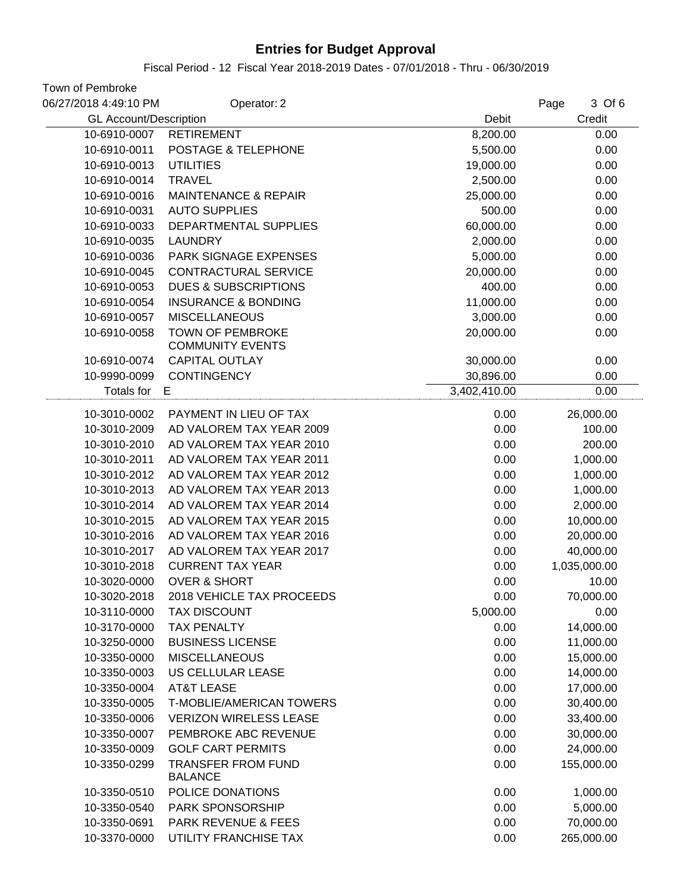Fiscal Period - 12 Fiscal Year 2018-2019 Dates - 07/01/2018 - Thru - 06/30/2019

| 06/27/2018 4:49:10 PM         | Operator: 2                                 |              | 3 Of 6<br>Page |
|-------------------------------|---------------------------------------------|--------------|----------------|
| <b>GL Account/Description</b> |                                             | Debit        | Credit         |
| 10-6910-0007                  | <b>RETIREMENT</b>                           | 8,200.00     | 0.00           |
| 10-6910-0011                  | POSTAGE & TELEPHONE                         | 5,500.00     | 0.00           |
| 10-6910-0013                  | <b>UTILITIES</b>                            | 19,000.00    | 0.00           |
| 10-6910-0014                  | <b>TRAVEL</b>                               | 2,500.00     | 0.00           |
| 10-6910-0016                  | <b>MAINTENANCE &amp; REPAIR</b>             | 25,000.00    | 0.00           |
| 10-6910-0031                  | <b>AUTO SUPPLIES</b>                        | 500.00       | 0.00           |
| 10-6910-0033                  | DEPARTMENTAL SUPPLIES                       | 60,000.00    | 0.00           |
| 10-6910-0035                  | <b>LAUNDRY</b>                              | 2,000.00     | 0.00           |
| 10-6910-0036                  | PARK SIGNAGE EXPENSES                       | 5,000.00     | 0.00           |
| 10-6910-0045                  | CONTRACTURAL SERVICE                        | 20,000.00    | 0.00           |
| 10-6910-0053                  | <b>DUES &amp; SUBSCRIPTIONS</b>             | 400.00       | 0.00           |
| 10-6910-0054                  | <b>INSURANCE &amp; BONDING</b>              | 11,000.00    | 0.00           |
| 10-6910-0057                  | <b>MISCELLANEOUS</b>                        | 3,000.00     | 0.00           |
| 10-6910-0058                  | <b>TOWN OF PEMBROKE</b>                     | 20,000.00    | 0.00           |
|                               | <b>COMMUNITY EVENTS</b>                     |              |                |
| 10-6910-0074                  | <b>CAPITAL OUTLAY</b>                       | 30,000.00    | 0.00           |
| 10-9990-0099                  | <b>CONTINGENCY</b>                          | 30,896.00    | 0.00           |
| Totals for                    | E                                           | 3,402,410.00 | 0.00           |
| 10-3010-0002                  | PAYMENT IN LIEU OF TAX                      | 0.00         | 26,000.00      |
| 10-3010-2009                  | AD VALOREM TAX YEAR 2009                    | 0.00         | 100.00         |
| 10-3010-2010                  | AD VALOREM TAX YEAR 2010                    | 0.00         | 200.00         |
| 10-3010-2011                  | AD VALOREM TAX YEAR 2011                    | 0.00         | 1,000.00       |
| 10-3010-2012                  | AD VALOREM TAX YEAR 2012                    | 0.00         | 1,000.00       |
| 10-3010-2013                  | AD VALOREM TAX YEAR 2013                    | 0.00         | 1,000.00       |
| 10-3010-2014                  | AD VALOREM TAX YEAR 2014                    | 0.00         | 2,000.00       |
| 10-3010-2015                  | AD VALOREM TAX YEAR 2015                    | 0.00         | 10,000.00      |
| 10-3010-2016                  | AD VALOREM TAX YEAR 2016                    | 0.00         | 20,000.00      |
| 10-3010-2017                  | AD VALOREM TAX YEAR 2017                    | 0.00         | 40,000.00      |
| 10-3010-2018                  | <b>CURRENT TAX YEAR</b>                     | 0.00         | 1,035,000.00   |
| 10-3020-0000                  | <b>OVER &amp; SHORT</b>                     | 0.00         | 10.00          |
| 10-3020-2018                  | 2018 VEHICLE TAX PROCEEDS                   | 0.00         | 70,000.00      |
| 10-3110-0000                  | <b>TAX DISCOUNT</b>                         | 5,000.00     | 0.00           |
| 10-3170-0000                  | <b>TAX PENALTY</b>                          | 0.00         | 14,000.00      |
| 10-3250-0000                  | <b>BUSINESS LICENSE</b>                     | 0.00         | 11,000.00      |
| 10-3350-0000                  | <b>MISCELLANEOUS</b>                        | 0.00         | 15,000.00      |
| 10-3350-0003                  | US CELLULAR LEASE                           | 0.00         | 14,000.00      |
| 10-3350-0004                  | <b>AT&amp;T LEASE</b>                       | 0.00         | 17,000.00      |
| 10-3350-0005                  | <b>T-MOBLIE/AMERICAN TOWERS</b>             | 0.00         | 30,400.00      |
| 10-3350-0006                  | <b>VERIZON WIRELESS LEASE</b>               | 0.00         | 33,400.00      |
| 10-3350-0007                  | PEMBROKE ABC REVENUE                        | 0.00         | 30,000.00      |
| 10-3350-0009                  | <b>GOLF CART PERMITS</b>                    | 0.00         | 24,000.00      |
| 10-3350-0299                  | <b>TRANSFER FROM FUND</b><br><b>BALANCE</b> | 0.00         | 155,000.00     |
| 10-3350-0510                  | POLICE DONATIONS                            | 0.00         | 1,000.00       |
| 10-3350-0540                  | PARK SPONSORSHIP                            | 0.00         | 5,000.00       |
| 10-3350-0691                  | PARK REVENUE & FEES                         | 0.00         | 70,000.00      |
| 10-3370-0000                  | UTILITY FRANCHISE TAX                       | 0.00         | 265,000.00     |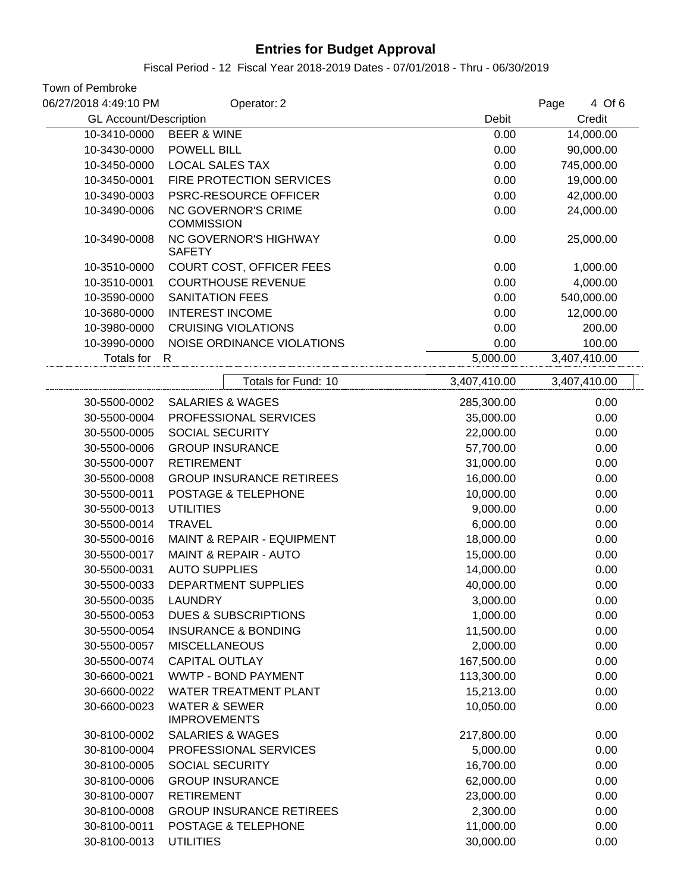Fiscal Period - 12 Fiscal Year 2018-2019 Dates - 07/01/2018 - Thru - 06/30/2019

| Town of Pembroke              |                                                 |              |                |
|-------------------------------|-------------------------------------------------|--------------|----------------|
| 06/27/2018 4:49:10 PM         | Operator: 2                                     |              | 4 Of 6<br>Page |
| <b>GL Account/Description</b> |                                                 | Debit        | Credit         |
| 10-3410-0000                  | <b>BEER &amp; WINE</b>                          | 0.00         | 14,000.00      |
| 10-3430-0000                  | <b>POWELL BILL</b>                              | 0.00         | 90,000.00      |
| 10-3450-0000                  | <b>LOCAL SALES TAX</b>                          | 0.00         | 745,000.00     |
| 10-3450-0001                  | FIRE PROTECTION SERVICES                        | 0.00         | 19,000.00      |
| 10-3490-0003                  | <b>PSRC-RESOURCE OFFICER</b>                    | 0.00         | 42,000.00      |
| 10-3490-0006                  | <b>NC GOVERNOR'S CRIME</b><br><b>COMMISSION</b> | 0.00         | 24,000.00      |
| 10-3490-0008                  | <b>NC GOVERNOR'S HIGHWAY</b><br><b>SAFETY</b>   | 0.00         | 25,000.00      |
| 10-3510-0000                  | COURT COST, OFFICER FEES                        | 0.00         | 1,000.00       |
| 10-3510-0001                  | <b>COURTHOUSE REVENUE</b>                       | 0.00         | 4,000.00       |
| 10-3590-0000                  | SANITATION FEES                                 | 0.00         | 540,000.00     |
| 10-3680-0000                  | <b>INTEREST INCOME</b>                          | 0.00         | 12,000.00      |
| 10-3980-0000                  | <b>CRUISING VIOLATIONS</b>                      | 0.00         | 200.00         |
| 10-3990-0000                  | NOISE ORDINANCE VIOLATIONS                      | 0.00         | 100.00         |
| Totals for                    | R                                               | 5,000.00     | 3,407,410.00   |
|                               | Totals for Fund: 10                             | 3,407,410.00 | 3,407,410.00   |
| 30-5500-0002                  | <b>SALARIES &amp; WAGES</b>                     | 285,300.00   | 0.00           |
| 30-5500-0004                  | PROFESSIONAL SERVICES                           | 35,000.00    | 0.00           |
| 30-5500-0005                  | <b>SOCIAL SECURITY</b>                          | 22,000.00    | 0.00           |
| 30-5500-0006                  | <b>GROUP INSURANCE</b>                          | 57,700.00    | 0.00           |
| 30-5500-0007                  | <b>RETIREMENT</b>                               | 31,000.00    | 0.00           |
| 30-5500-0008                  | <b>GROUP INSURANCE RETIREES</b>                 | 16,000.00    | 0.00           |
| 30-5500-0011                  | POSTAGE & TELEPHONE                             | 10,000.00    | 0.00           |
| 30-5500-0013                  | <b>UTILITIES</b>                                | 9,000.00     | 0.00           |
| 30-5500-0014                  | <b>TRAVEL</b>                                   | 6,000.00     | 0.00           |
| 30-5500-0016                  | MAINT & REPAIR - EQUIPMENT                      | 18,000.00    | 0.00           |
| 30-5500-0017                  | <b>MAINT &amp; REPAIR - AUTO</b>                | 15,000.00    | 0.00           |
| 30-5500-0031                  | <b>AUTO SUPPLIES</b>                            | 14,000.00    | 0.00           |
| 30-5500-0033                  | DEPARTMENT SUPPLIES                             | 40,000.00    | 0.00           |
| 30-5500-0035                  | <b>LAUNDRY</b>                                  | 3,000.00     | 0.00           |
| 30-5500-0053                  | <b>DUES &amp; SUBSCRIPTIONS</b>                 | 1,000.00     | 0.00           |
| 30-5500-0054                  | <b>INSURANCE &amp; BONDING</b>                  | 11,500.00    | 0.00           |
| 30-5500-0057                  | <b>MISCELLANEOUS</b>                            | 2,000.00     | 0.00           |
| 30-5500-0074                  | <b>CAPITAL OUTLAY</b>                           | 167,500.00   | 0.00           |
| 30-6600-0021                  | WWTP - BOND PAYMENT                             | 113,300.00   | 0.00           |
| 30-6600-0022                  | WATER TREATMENT PLANT                           | 15,213.00    | 0.00           |
| 30-6600-0023                  | <b>WATER &amp; SEWER</b>                        | 10,050.00    | 0.00           |
|                               | <b>IMPROVEMENTS</b>                             |              |                |
| 30-8100-0002                  | <b>SALARIES &amp; WAGES</b>                     | 217,800.00   | 0.00           |
| 30-8100-0004                  | PROFESSIONAL SERVICES                           | 5,000.00     | 0.00           |
| 30-8100-0005                  | SOCIAL SECURITY                                 | 16,700.00    | 0.00           |
| 30-8100-0006                  | <b>GROUP INSURANCE</b>                          | 62,000.00    | 0.00           |
| 30-8100-0007                  | <b>RETIREMENT</b>                               | 23,000.00    | 0.00           |
| 30-8100-0008                  | <b>GROUP INSURANCE RETIREES</b>                 | 2,300.00     | 0.00           |
| 30-8100-0011                  | POSTAGE & TELEPHONE                             | 11,000.00    | 0.00           |
| 30-8100-0013                  | <b>UTILITIES</b>                                | 30,000.00    | 0.00           |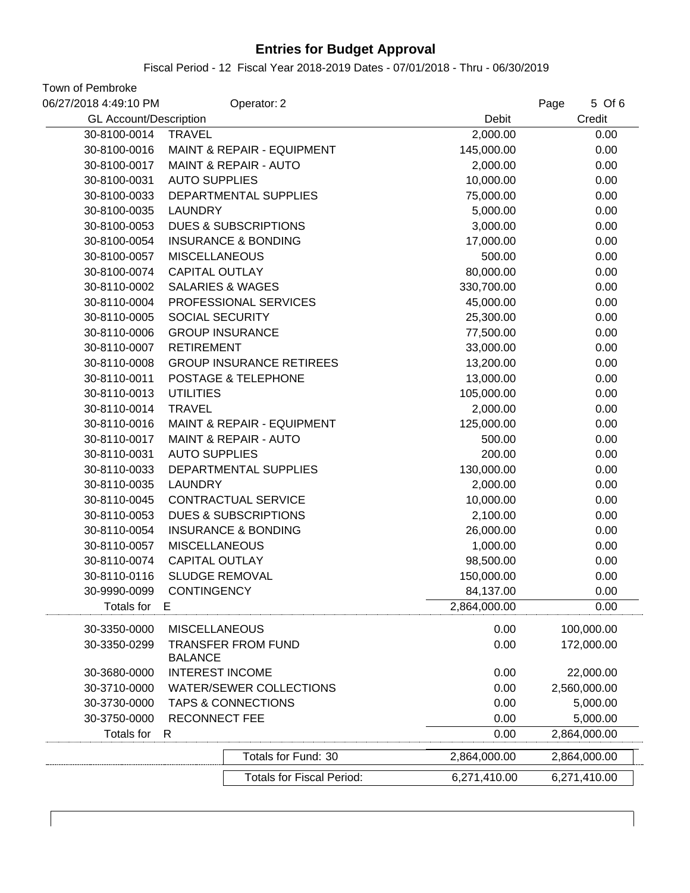Fiscal Period - 12 Fiscal Year 2018-2019 Dates - 07/01/2018 - Thru - 06/30/2019

| 06/27/2018 4:49:10 PM         | Operator: 2                           |              | 5 Of 6<br>Page |
|-------------------------------|---------------------------------------|--------------|----------------|
| <b>GL Account/Description</b> |                                       | Debit        | Credit         |
| 30-8100-0014                  | <b>TRAVEL</b>                         | 2,000.00     | 0.00           |
| 30-8100-0016                  | <b>MAINT &amp; REPAIR - EQUIPMENT</b> | 145,000.00   | 0.00           |
| 30-8100-0017                  | <b>MAINT &amp; REPAIR - AUTO</b>      | 2,000.00     | 0.00           |
| 30-8100-0031                  | <b>AUTO SUPPLIES</b>                  | 10,000.00    | 0.00           |
| 30-8100-0033                  | DEPARTMENTAL SUPPLIES                 | 75,000.00    | 0.00           |
| 30-8100-0035                  | <b>LAUNDRY</b>                        | 5,000.00     | 0.00           |
| 30-8100-0053                  | <b>DUES &amp; SUBSCRIPTIONS</b>       | 3,000.00     | 0.00           |
| 30-8100-0054                  | <b>INSURANCE &amp; BONDING</b>        | 17,000.00    | 0.00           |
| 30-8100-0057                  | <b>MISCELLANEOUS</b>                  | 500.00       | 0.00           |
| 30-8100-0074                  | <b>CAPITAL OUTLAY</b>                 | 80,000.00    | 0.00           |
| 30-8110-0002                  | <b>SALARIES &amp; WAGES</b>           | 330,700.00   | 0.00           |
| 30-8110-0004                  | PROFESSIONAL SERVICES                 | 45,000.00    | 0.00           |
| 30-8110-0005                  | <b>SOCIAL SECURITY</b>                | 25,300.00    | 0.00           |
| 30-8110-0006                  | <b>GROUP INSURANCE</b>                | 77,500.00    | 0.00           |
| 30-8110-0007                  | <b>RETIREMENT</b>                     | 33,000.00    | 0.00           |
| 30-8110-0008                  | <b>GROUP INSURANCE RETIREES</b>       | 13,200.00    | 0.00           |
| 30-8110-0011                  | POSTAGE & TELEPHONE                   | 13,000.00    | 0.00           |
| 30-8110-0013                  | <b>UTILITIES</b>                      | 105,000.00   | 0.00           |
| 30-8110-0014                  | <b>TRAVEL</b>                         | 2,000.00     | 0.00           |
| 30-8110-0016                  | MAINT & REPAIR - EQUIPMENT            | 125,000.00   | 0.00           |
| 30-8110-0017                  | <b>MAINT &amp; REPAIR - AUTO</b>      | 500.00       | 0.00           |
| 30-8110-0031                  | <b>AUTO SUPPLIES</b>                  | 200.00       | 0.00           |
| 30-8110-0033                  | DEPARTMENTAL SUPPLIES                 | 130,000.00   | 0.00           |
| 30-8110-0035                  | <b>LAUNDRY</b>                        | 2,000.00     | 0.00           |
| 30-8110-0045                  | CONTRACTUAL SERVICE                   | 10,000.00    | 0.00           |
| 30-8110-0053                  | <b>DUES &amp; SUBSCRIPTIONS</b>       | 2,100.00     | 0.00           |
| 30-8110-0054                  | <b>INSURANCE &amp; BONDING</b>        | 26,000.00    | 0.00           |
| 30-8110-0057                  | <b>MISCELLANEOUS</b>                  | 1,000.00     | 0.00           |
| 30-8110-0074                  | <b>CAPITAL OUTLAY</b>                 | 98,500.00    | 0.00           |
| 30-8110-0116                  | <b>SLUDGE REMOVAL</b>                 | 150,000.00   | 0.00           |
| 30-9990-0099                  | <b>CONTINGENCY</b>                    | 84,137.00    | 0.00           |
| Totals for                    | Е                                     | 2,864,000.00 | 0.00           |
| 30-3350-0000                  | <b>MISCELLANEOUS</b>                  | 0.00         | 100,000.00     |
| 30-3350-0299                  | <b>TRANSFER FROM FUND</b>             | 0.00         | 172,000.00     |
|                               | <b>BALANCE</b>                        |              |                |
| 30-3680-0000                  | <b>INTEREST INCOME</b>                | 0.00         | 22,000.00      |
| 30-3710-0000                  | <b>WATER/SEWER COLLECTIONS</b>        | 0.00         | 2,560,000.00   |
| 30-3730-0000                  | <b>TAPS &amp; CONNECTIONS</b>         | 0.00         | 5,000.00       |
| 30-3750-0000                  | <b>RECONNECT FEE</b>                  | 0.00         | 5,000.00       |
| <b>Totals for</b>             | R                                     | 0.00         | 2,864,000.00   |
|                               | Totals for Fund: 30                   | 2,864,000.00 | 2,864,000.00   |
|                               | <b>Totals for Fiscal Period:</b>      | 6,271,410.00 | 6,271,410.00   |
|                               |                                       |              |                |